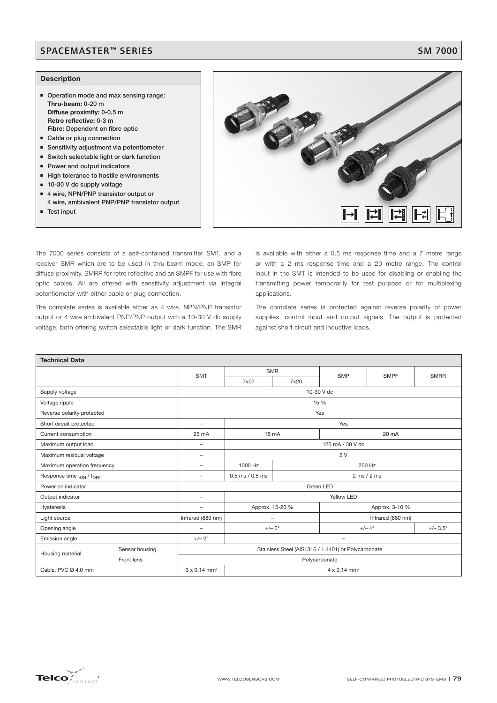### SPACEMASTER™ SERIES SM 7000

### **Description**

- **Operation mode and max sensing range: Thru-beam: 0-20 m Diffuse proximity: 0-0,5 m Retro reflective: 0-3 m Fibre: Dependent on fibre optic**
- **E** Cable or plug connection
- **Sensitivity adjustment via potentiometer**
- **Switch selectable light or dark function**
- **Power and output indicators**
- **High tolerance to hostile environments**
- 10-30 V dc supply voltage
- **4 wire, NPN/PNP transistor output or**
- **4 wire, ambivalent PNP/PNP transistor output** - **Test input**



The 7000 series consists of a self-contained transmitter SMT, and a receiver SMR which are to be used in thru-beam mode, an SMP for diffuse proximity, SMRR for retro reflective and an SMPF for use with fibre optic cables. All are offered with sensitivity adjustment via integral potentiometer with either cable or plug connection.

The complete series is available either as 4 wire, NPN/PNP transistor output or 4 wire ambivalent PNP/PNP output with a 10-30 V dc supply voltage, both offering switch selectable light or dark function. The SMR is available with either a 0.5 ms response time and a 7 metre range or with a 2 ms response time and a 20 metre range. The control input in the SMT is intended to be used for disabling or enabling the transmitting power temporarily for test purpose or for multiplexing applications.

The complete series is protected against reverse polarity of power supplies, control input and output signals. The output is protected against short circuit and inductive loads.

| <b>Technical Data</b>                            |                          |                                                                    |                                                      |            |                   |                 |                   |  |  |  |
|--------------------------------------------------|--------------------------|--------------------------------------------------------------------|------------------------------------------------------|------------|-------------------|-----------------|-------------------|--|--|--|
|                                                  | <b>SMT</b>               | <b>SMR</b>                                                         |                                                      | <b>SMP</b> | <b>SMPF</b>       | <b>SMRR</b>     |                   |  |  |  |
|                                                  |                          |                                                                    | 7x07                                                 | 7x20       |                   |                 |                   |  |  |  |
| Supply voltage                                   |                          | 10-30 V dc                                                         |                                                      |            |                   |                 |                   |  |  |  |
| Voltage ripple                                   |                          | 15 %                                                               |                                                      |            |                   |                 |                   |  |  |  |
| Reverse polarity protected                       |                          |                                                                    | Yes                                                  |            |                   |                 |                   |  |  |  |
| Short circuit protected                          |                          | $\overline{\phantom{a}}$                                           |                                                      |            | Yes               |                 |                   |  |  |  |
| Current consumption                              | 25 mA                    | 15 mA                                                              |                                                      |            | 20 mA             |                 |                   |  |  |  |
| Maximum output load                              | $\overline{\phantom{a}}$ | 120 mA / 30 V dc                                                   |                                                      |            |                   |                 |                   |  |  |  |
| Maximum residual voltage                         |                          | $\overline{\phantom{0}}$                                           | 2V                                                   |            |                   |                 |                   |  |  |  |
| Maximum operation frequency                      |                          | $\overline{\phantom{0}}$                                           | 1000 Hz<br>250 Hz                                    |            |                   |                 |                   |  |  |  |
| Response time t <sub>ON</sub> / t <sub>OFF</sub> |                          | $\overline{\phantom{a}}$                                           | $0.5$ ms $/ 0.5$ ms<br>$2 \text{ ms} / 2 \text{ ms}$ |            |                   |                 |                   |  |  |  |
| Power on indicator                               |                          |                                                                    |                                                      |            | Green LED         |                 |                   |  |  |  |
| Output indicator                                 |                          | $\overline{\phantom{a}}$                                           |                                                      |            | Yellow LED        |                 |                   |  |  |  |
| Hysteresis                                       |                          | $\overline{\phantom{a}}$                                           | Approx. 15-20 %                                      |            | Approx. 3-10 %    |                 |                   |  |  |  |
| Light source                                     |                          | Infrared (880 nm)                                                  | ۳                                                    |            | Infrared (880 nm) |                 |                   |  |  |  |
| Opening angle                                    |                          | $\overline{\phantom{0}}$                                           | $+/- 6^\circ$                                        |            |                   | $+/- 4^{\circ}$ | $+/- 3.5^{\circ}$ |  |  |  |
| Emission angle                                   |                          | $+/- 2^{\circ}$                                                    | $\overline{\phantom{0}}$                             |            |                   |                 |                   |  |  |  |
| Housing material                                 | Sensor housing           | Stainless Steel (AISI 316 / 1.4401) or Polycarbonate               |                                                      |            |                   |                 |                   |  |  |  |
|                                                  | Front lens               |                                                                    | Polycarbonate                                        |            |                   |                 |                   |  |  |  |
| Cable, PVC Ø 4,0 mm                              |                          | $4 \times 0,14$ mm <sup>2</sup><br>$3 \times 0,14$ mm <sup>2</sup> |                                                      |            |                   |                 |                   |  |  |  |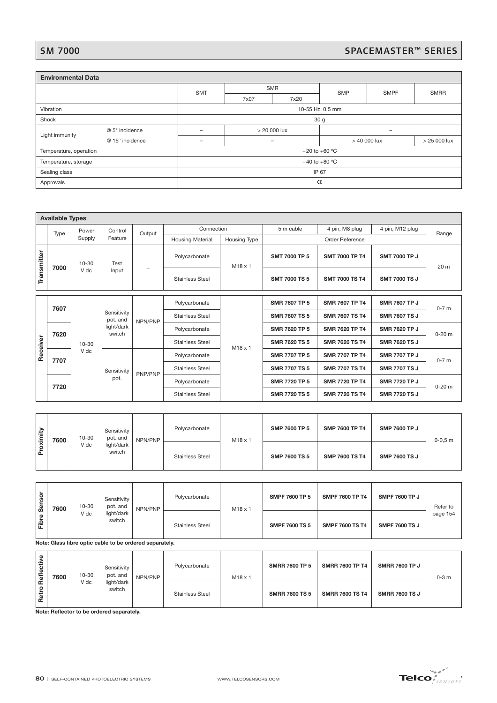# SM 7000 SPACEMASTER™ SERIES

| <b>Environmental Data</b> |                 |                   |                |      |                          |             |                |  |  |
|---------------------------|-----------------|-------------------|----------------|------|--------------------------|-------------|----------------|--|--|
|                           |                 | <b>SMT</b>        | <b>SMR</b>     |      | <b>SMP</b>               | <b>SMPF</b> | <b>SMRR</b>    |  |  |
|                           |                 |                   | 7x07           | 7x20 |                          |             |                |  |  |
| Vibration                 |                 | 10-55 Hz, 0,5 mm  |                |      |                          |             |                |  |  |
| Shock                     |                 | 30 <sub>g</sub>   |                |      |                          |             |                |  |  |
| Light immunity            | @ 5° incidence  | -                 | $>$ 20 000 lux |      | $\overline{\phantom{0}}$ |             |                |  |  |
|                           | @ 15° incidence | -                 | -              |      | $>40000$ lux             |             | $>$ 25 000 lux |  |  |
| Temperature, operation    |                 | $-20$ to $+60$ °C |                |      |                          |             |                |  |  |
| Temperature, storage      |                 | $-40$ to $+80$ °C |                |      |                          |             |                |  |  |
| Sealing class             |                 | IP 67             |                |      |                          |             |                |  |  |
| Approvals                 |                 | Œ                 |                |      |                          |             |                |  |  |

|                     | <b>Available Types</b>                                                                                                         |           |                                                 |                                                         |                         |              |                       |                        |                       |            |                |                       |                        |                       |         |                        |  |                      |                       |                      |  |
|---------------------|--------------------------------------------------------------------------------------------------------------------------------|-----------|-------------------------------------------------|---------------------------------------------------------|-------------------------|--------------|-----------------------|------------------------|-----------------------|------------|----------------|-----------------------|------------------------|-----------------------|---------|------------------------|--|----------------------|-----------------------|----------------------|--|
|                     | Type                                                                                                                           | Power     | Control                                         | Output                                                  | Connection              |              | 5 m cable             | 4 pin, M8 plug         | 4 pin, M12 plug       | Range      |                |                       |                        |                       |         |                        |  |                      |                       |                      |  |
|                     |                                                                                                                                | Supply    | Feature                                         |                                                         | <b>Housing Material</b> | Housing Type |                       | Order Reference        |                       |            |                |                       |                        |                       |         |                        |  |                      |                       |                      |  |
| Transmitter         | 7000                                                                                                                           | $10 - 30$ | Test<br>Input                                   |                                                         | Polycarbonate           | M18 x 1      | <b>SMT 7000 TP 5</b>  | <b>SMT 7000 TP T4</b>  | <b>SMT 7000 TP J</b>  | 20 m       |                |                       |                        |                       |         |                        |  |                      |                       |                      |  |
|                     |                                                                                                                                | V dc      |                                                 |                                                         | <b>Stainless Steel</b>  |              | <b>SMT 7000 TS 5</b>  | <b>SMT 7000 TS T4</b>  | <b>SMT 7000 TS J</b>  |            |                |                       |                        |                       |         |                        |  |                      |                       |                      |  |
|                     | 7607                                                                                                                           |           |                                                 |                                                         | Polycarbonate           |              | <b>SMR 7607 TP 5</b>  | SMR 7607 TP T4         | <b>SMR 7607 TP J</b>  | $0 - 7$ m  |                |                       |                        |                       |         |                        |  |                      |                       |                      |  |
|                     |                                                                                                                                |           | Sensitivity<br>pot. and                         | NPN/PNP                                                 | <b>Stainless Steel</b>  |              | <b>SMR 7607 TS 5</b>  | <b>SMR 7607 TS T4</b>  | <b>SMR 7607 TS J</b>  |            |                |                       |                        |                       |         |                        |  |                      |                       |                      |  |
|                     | 7620                                                                                                                           |           | light/dark<br>switch                            |                                                         | Polycarbonate           |              | SMR 7620 TP 5         | <b>SMR 7620 TP T4</b>  | <b>SMR 7620 TP J</b>  | $0 - 20$ m |                |                       |                        |                       |         |                        |  |                      |                       |                      |  |
|                     |                                                                                                                                | $10 - 30$ |                                                 |                                                         | <b>Stainless Steel</b>  | M18 x 1      | SMR 7620 TS 5         | <b>SMR 7620 TS T4</b>  | <b>SMR 7620 TS J</b>  |            |                |                       |                        |                       |         |                        |  |                      |                       |                      |  |
| Receiver            | 7707                                                                                                                           | V dc      |                                                 |                                                         | Polycarbonate           |              | <b>SMR 7707 TP 5</b>  | <b>SMR 7707 TP T4</b>  | <b>SMR 7707 TP J</b>  | $0-7$ m    |                |                       |                        |                       |         |                        |  |                      |                       |                      |  |
|                     |                                                                                                                                |           | Sensitivity                                     | PNP/PNP                                                 | <b>Stainless Steel</b>  |              | <b>SMR 7707 TS 5</b>  | <b>SMR 7707 TS T4</b>  | <b>SMR 7707 TS J</b>  |            |                |                       |                        |                       |         |                        |  |                      |                       |                      |  |
|                     | 7720                                                                                                                           |           | pot.                                            |                                                         | Polycarbonate           |              | <b>SMR 7720 TP 5</b>  | SMR 7720 TP T4         | SMR 7720 TP J         | $0 - 20$ m |                |                       |                        |                       |         |                        |  |                      |                       |                      |  |
|                     |                                                                                                                                |           |                                                 |                                                         | <b>Stainless Steel</b>  |              | <b>SMR 7720 TS 5</b>  | <b>SMR 7720 TS T4</b>  | <b>SMR 7720 TS J</b>  |            |                |                       |                        |                       |         |                        |  |                      |                       |                      |  |
|                     |                                                                                                                                |           |                                                 |                                                         |                         |              |                       |                        |                       |            |                |                       |                        |                       |         |                        |  |                      |                       |                      |  |
| Proximity           | 10-30<br>7600                                                                                                                  |           | Sensitivity<br>pot. and                         | NPN/PNP                                                 | Polycarbonate           | M18 x 1      | SMP 7600 TP 5         | SMP 7600 TP T4         | <b>SMP 7600 TP J</b>  | $0-0,5$ m  |                |                       |                        |                       |         |                        |  |                      |                       |                      |  |
|                     |                                                                                                                                | V dc      | light/dark<br>switch                            |                                                         |                         |              |                       |                        |                       |            |                |                       |                        |                       |         | <b>Stainless Steel</b> |  | <b>SMP 7600 TS 5</b> | <b>SMP 7600 TS T4</b> | <b>SMP 7600 TS J</b> |  |
|                     |                                                                                                                                |           |                                                 |                                                         |                         |              |                       |                        |                       |            |                |                       |                        |                       |         |                        |  |                      |                       |                      |  |
| <b>Fibre Sensor</b> | 7600                                                                                                                           | $10 - 30$ | Sensitivity<br>pot. and<br>light/dark<br>switch | NPN/PNP                                                 | Polycarbonate           | M18 x 1      | SMPF 7600 TP 5        | <b>SMPF 7600 TP T4</b> | <b>SMPF 7600 TP J</b> | Refer to   |                |                       |                        |                       |         |                        |  |                      |                       |                      |  |
|                     |                                                                                                                                | V dc      |                                                 |                                                         | <b>Stainless Steel</b>  |              | <b>SMPF 7600 TS 5</b> | <b>SMPF 7600 TS T4</b> | <b>SMPF 7600 TS J</b> | page 154   |                |                       |                        |                       |         |                        |  |                      |                       |                      |  |
|                     |                                                                                                                                |           |                                                 | Note: Glass fibre optic cable to be ordered separately. |                         |              |                       |                        |                       |            |                |                       |                        |                       |         |                        |  |                      |                       |                      |  |
| Reflective          | 7600                                                                                                                           | $10 - 30$ | Sensitivity<br>pot. and<br>light/dark<br>switch | Polycarbonate                                           |                         |              |                       | NPN/PNP                |                       |            | $M18 \times 1$ | <b>SMRR 7600 TP 5</b> | <b>SMRR 7600 TP T4</b> | <b>SMRR 7600 TP J</b> | $0-3$ m |                        |  |                      |                       |                      |  |
| $\circ$<br>Retr     |                                                                                                                                | V dc      |                                                 |                                                         | <b>Stainless Steel</b>  |              | <b>SMRR 7600 TS 5</b> | <b>SMRR 7600 TS T4</b> | <b>SMRR 7600 TS J</b> |            |                |                       |                        |                       |         |                        |  |                      |                       |                      |  |
|                     | Note: Reflector to be ordered separately.<br><b>Telco</b><br>80   SELF-CONTAINED PHOTOELECTRIC SYSTEMS<br>WWW.TELCOSENSORS.COM |           |                                                 |                                                         |                         |              |                       |                        |                       |            |                |                       |                        |                       |         |                        |  |                      |                       |                      |  |

| roximity | $10 - 30$<br>7600<br>V dc | Sensitivity<br>pot. and | NPN/PNP              | Polycarbonate | $M18 \times 1$         | <b>SMP 7600 TP 5</b> | <b>SMP 7600 TP T4</b> | <b>SMP 7600 TP J</b>  | $0 - 0.5$ m          |
|----------|---------------------------|-------------------------|----------------------|---------------|------------------------|----------------------|-----------------------|-----------------------|----------------------|
| മ        |                           |                         | light/dark<br>switch |               | <b>Stainless Steel</b> |                      | <b>SMP 7600 TS 5</b>  | <b>SMP 7600 TS T4</b> | <b>SMP 7600 TS J</b> |

| Sensor |                                                         | $10 - 30$<br>7600<br>V dc | Sensitivity<br>pot. and<br>light/dark<br>switch | NPN/PNP | Polycarbonate          | $M18 \times 1$ | <b>SMPF 7600 TP 5</b> | <b>SMPF 7600 TP T4</b> | <b>SMPF 7600 TP J</b> | Refer to<br>page 154 |
|--------|---------------------------------------------------------|---------------------------|-------------------------------------------------|---------|------------------------|----------------|-----------------------|------------------------|-----------------------|----------------------|
| Fibre  |                                                         |                           |                                                 |         | <b>Stainless Steel</b> |                | SMPF 7600 TS 5        | <b>SMPF 7600 TS T4</b> | <b>SMPF 7600 TS J</b> |                      |
|        | Note: Glass fibre optic cable to be ordered separately. |                           |                                                 |         |                        |                |                       |                        |                       |                      |

| Reflective | 7600 | 10-30<br>V dc | Sensitivity<br>pot. and<br>light/dark<br>switch | NPN/PNP | Polycarbonate          | $M18 \times 1$ | <b>SMRR 7600 TP 5</b> | <b>SMRR 7600 TP T4</b> | <b>SMRR 7600 TP J</b> | $0-3$ m |
|------------|------|---------------|-------------------------------------------------|---------|------------------------|----------------|-----------------------|------------------------|-----------------------|---------|
| Retro      |      |               |                                                 |         | <b>Stainless Steel</b> |                | <b>SMRR 7600 TS 5</b> | <b>SMRR 7600 TS T4</b> | <b>SMRR 7600 TS J</b> |         |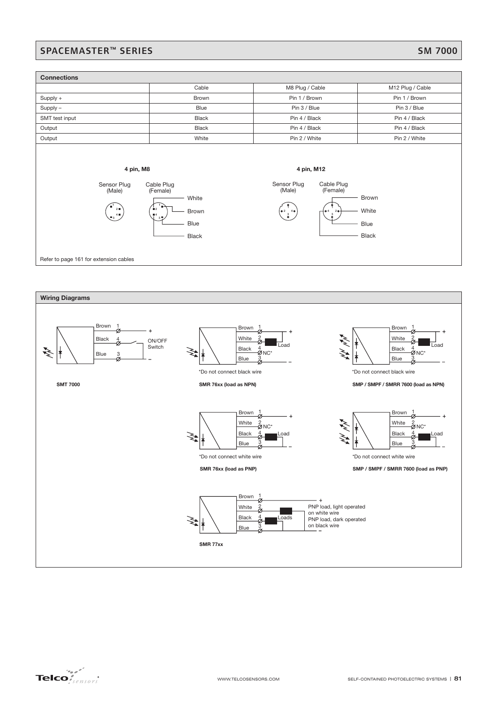### SPACEMASTER™ SERIES SM 7000





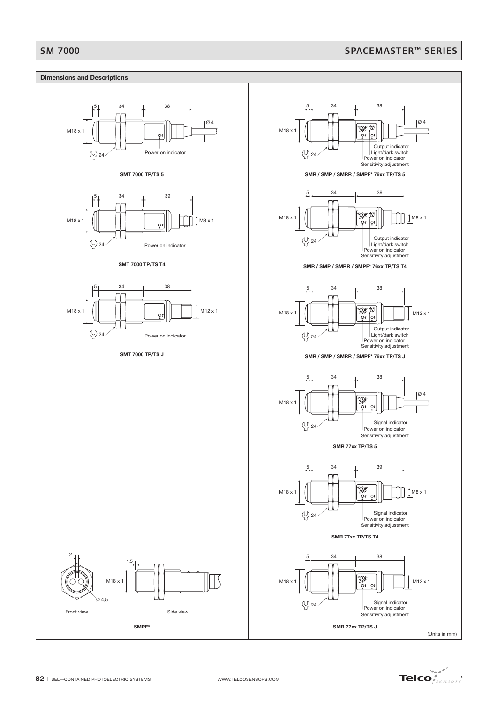## SM 7000 SPACEMASTER™ SERIES



 $\mathsf{Telco}_{\mathsf{f} \mathsf{sensor}}^{\mathsf{f} \mathsf{f} \mathsf{f} \mathsf{f} \mathsf{f} \mathsf{f} \mathsf{f} \mathsf{f} \mathsf{f} \mathsf{f} \mathsf{f} \mathsf{f} \mathsf{f} \mathsf{f} \mathsf{f} \mathsf{f} \mathsf{f} \mathsf{f} \mathsf{f} \mathsf{f} \mathsf{f} \mathsf{f} \mathsf{f} \mathsf{f} \mathsf{f} \mathsf{f} \mathsf{f} \mathsf{f} \mathsf{f} \mathsf{f} \mathsf{f} \mathsf{f} \mathsf{f} \math$